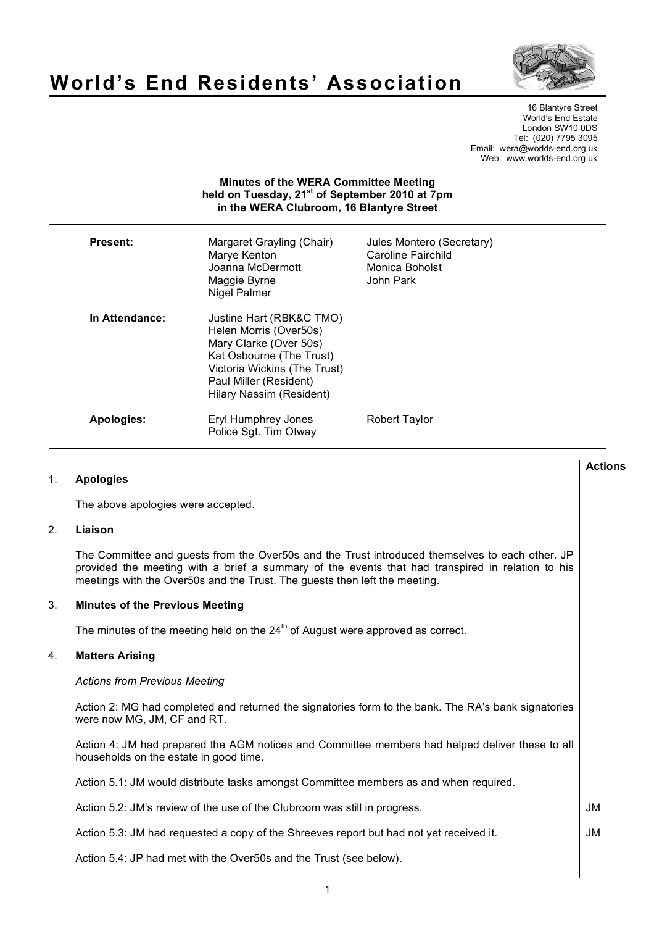

# **World's End Residents' Association**

16 Blantyre Street World's End Estate London SW10 0DS Tel: (020) 7795 3095 Email: wera@worlds-end.org.uk Web: www.worlds-end.org.uk

# **Minutes of the WERA Committee Meeting held on Tuesday, 21st of September 2010 at 7pm in the WERA Clubroom, 16 Blantyre Street**

| Present:       | Margaret Grayling (Chair)<br>Marye Kenton<br>Joanna McDermott<br>Maggie Byrne<br>Nigel Palmer                                                                                                  | Jules Montero (Secretary)<br>Caroline Fairchild<br>Monica Boholst<br>John Park |
|----------------|------------------------------------------------------------------------------------------------------------------------------------------------------------------------------------------------|--------------------------------------------------------------------------------|
| In Attendance: | Justine Hart (RBK&C TMO)<br>Helen Morris (Over50s)<br>Mary Clarke (Over 50s)<br>Kat Osbourne (The Trust)<br>Victoria Wickins (The Trust)<br>Paul Miller (Resident)<br>Hilary Nassim (Resident) |                                                                                |
| Apologies:     | Eryl Humphrey Jones<br>Police Sgt. Tim Otway                                                                                                                                                   | <b>Robert Taylor</b>                                                           |

## 1. **Apologies**

The above apologies were accepted.

## 2. **Liaison**

The Committee and guests from the Over50s and the Trust introduced themselves to each other. JP provided the meeting with a brief a summary of the events that had transpired in relation to his meetings with the Over50s and the Trust. The guests then left the meeting.

## 3. **Minutes of the Previous Meeting**

The minutes of the meeting held on the  $24<sup>th</sup>$  of August were approved as correct.

## 4. **Matters Arising**

### *Actions from Previous Meeting*

Action 2: MG had completed and returned the signatories form to the bank. The RA's bank signatories were now MG, JM, CF and RT.

Action 4: JM had prepared the AGM notices and Committee members had helped deliver these to all households on the estate in good time.

Action 5.1: JM would distribute tasks amongst Committee members as and when required.

Action 5.2: JM's review of the use of the Clubroom was still in progress.

Action 5.3: JM had requested a copy of the Shreeves report but had not yet received it.

Action 5.4: JP had met with the Over50s and the Trust (see below).

JM

JM

**Actions**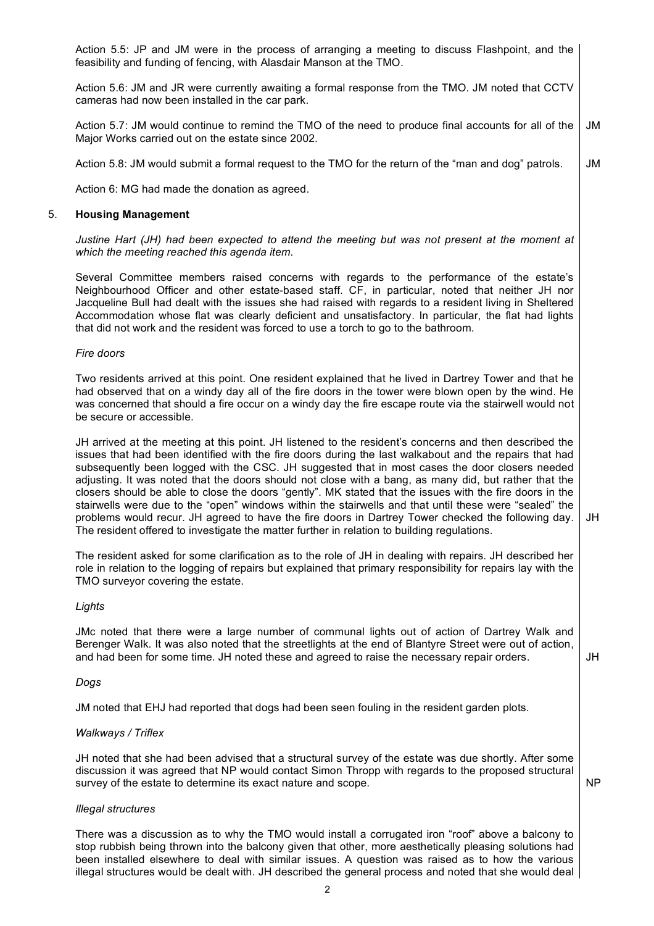Action 5.5: JP and JM were in the process of arranging a meeting to discuss Flashpoint, and the feasibility and funding of fencing, with Alasdair Manson at the TMO.

Action 5.6: JM and JR were currently awaiting a formal response from the TMO. JM noted that CCTV cameras had now been installed in the car park.

Action 5.7: JM would continue to remind the TMO of the need to produce final accounts for all of the Major Works carried out on the estate since 2002. JM

Action 5.8: JM would submit a formal request to the TMO for the return of the "man and dog" patrols. JM

Action 6: MG had made the donation as agreed.

#### 5. **Housing Management**

*Justine Hart (JH) had been expected to attend the meeting but was not present at the moment at which the meeting reached this agenda item.*

Several Committee members raised concerns with regards to the performance of the estate's Neighbourhood Officer and other estate-based staff. CF, in particular, noted that neither JH nor Jacqueline Bull had dealt with the issues she had raised with regards to a resident living in Sheltered Accommodation whose flat was clearly deficient and unsatisfactory. In particular, the flat had lights that did not work and the resident was forced to use a torch to go to the bathroom.

#### *Fire doors*

Two residents arrived at this point. One resident explained that he lived in Dartrey Tower and that he had observed that on a windy day all of the fire doors in the tower were blown open by the wind. He was concerned that should a fire occur on a windy day the fire escape route via the stairwell would not be secure or accessible.

JH arrived at the meeting at this point. JH listened to the resident's concerns and then described the issues that had been identified with the fire doors during the last walkabout and the repairs that had subsequently been logged with the CSC. JH suggested that in most cases the door closers needed adjusting. It was noted that the doors should not close with a bang, as many did, but rather that the closers should be able to close the doors "gently". MK stated that the issues with the fire doors in the stairwells were due to the "open" windows within the stairwells and that until these were "sealed" the problems would recur. JH agreed to have the fire doors in Dartrey Tower checked the following day. The resident offered to investigate the matter further in relation to building regulations.

JH

JH

NP

The resident asked for some clarification as to the role of JH in dealing with repairs. JH described her role in relation to the logging of repairs but explained that primary responsibility for repairs lay with the TMO surveyor covering the estate.

#### *Lights*

JMc noted that there were a large number of communal lights out of action of Dartrey Walk and Berenger Walk. It was also noted that the streetlights at the end of Blantyre Street were out of action, and had been for some time. JH noted these and agreed to raise the necessary repair orders.

#### *Dogs*

JM noted that EHJ had reported that dogs had been seen fouling in the resident garden plots.

### *Walkways / Triflex*

JH noted that she had been advised that a structural survey of the estate was due shortly. After some discussion it was agreed that NP would contact Simon Thropp with regards to the proposed structural survey of the estate to determine its exact nature and scope.

#### *Illegal structures*

There was a discussion as to why the TMO would install a corrugated iron "roof" above a balcony to stop rubbish being thrown into the balcony given that other, more aesthetically pleasing solutions had been installed elsewhere to deal with similar issues. A question was raised as to how the various illegal structures would be dealt with. JH described the general process and noted that she would deal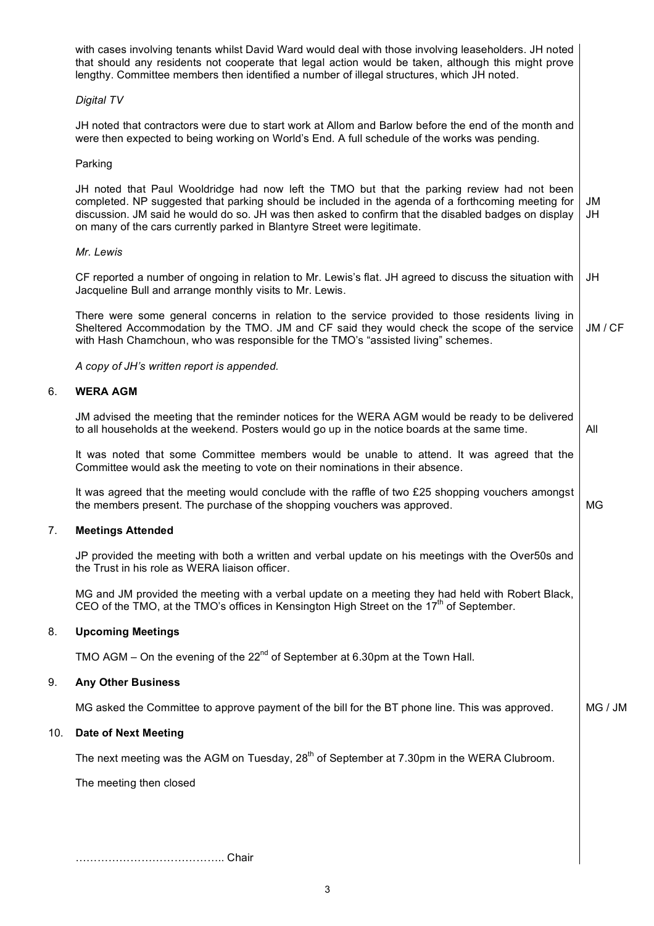|     | with cases involving tenants whilst David Ward would deal with those involving leaseholders. JH noted<br>that should any residents not cooperate that legal action would be taken, although this might prove<br>lengthy. Committee members then identified a number of illegal structures, which JH noted.                                                                            |           |  |  |
|-----|---------------------------------------------------------------------------------------------------------------------------------------------------------------------------------------------------------------------------------------------------------------------------------------------------------------------------------------------------------------------------------------|-----------|--|--|
|     | Digital TV                                                                                                                                                                                                                                                                                                                                                                            |           |  |  |
|     | JH noted that contractors were due to start work at Allom and Barlow before the end of the month and<br>were then expected to being working on World's End. A full schedule of the works was pending.                                                                                                                                                                                 |           |  |  |
|     | Parking                                                                                                                                                                                                                                                                                                                                                                               |           |  |  |
|     | JH noted that Paul Wooldridge had now left the TMO but that the parking review had not been<br>completed. NP suggested that parking should be included in the agenda of a forthcoming meeting for<br>discussion. JM said he would do so. JH was then asked to confirm that the disabled badges on display<br>on many of the cars currently parked in Blantyre Street were legitimate. | JM<br>JH  |  |  |
|     | Mr. Lewis                                                                                                                                                                                                                                                                                                                                                                             |           |  |  |
|     | CF reported a number of ongoing in relation to Mr. Lewis's flat. JH agreed to discuss the situation with<br>Jacqueline Bull and arrange monthly visits to Mr. Lewis.                                                                                                                                                                                                                  | JH        |  |  |
|     | There were some general concerns in relation to the service provided to those residents living in<br>Sheltered Accommodation by the TMO. JM and CF said they would check the scope of the service<br>with Hash Chamchoun, who was responsible for the TMO's "assisted living" schemes.                                                                                                | JM / CF   |  |  |
|     | A copy of JH's written report is appended.                                                                                                                                                                                                                                                                                                                                            |           |  |  |
| 6.  | <b>WERA AGM</b>                                                                                                                                                                                                                                                                                                                                                                       |           |  |  |
|     | JM advised the meeting that the reminder notices for the WERA AGM would be ready to be delivered<br>to all households at the weekend. Posters would go up in the notice boards at the same time.                                                                                                                                                                                      | All       |  |  |
|     | It was noted that some Committee members would be unable to attend. It was agreed that the<br>Committee would ask the meeting to vote on their nominations in their absence.                                                                                                                                                                                                          |           |  |  |
|     | It was agreed that the meeting would conclude with the raffle of two £25 shopping vouchers amongst<br>the members present. The purchase of the shopping vouchers was approved.                                                                                                                                                                                                        | <b>MG</b> |  |  |
| 7.  | <b>Meetings Attended</b>                                                                                                                                                                                                                                                                                                                                                              |           |  |  |
|     | JP provided the meeting with both a written and verbal update on his meetings with the Over50s and<br>the Trust in his role as WERA liaison officer.                                                                                                                                                                                                                                  |           |  |  |
|     | MG and JM provided the meeting with a verbal update on a meeting they had held with Robert Black,<br>CEO of the TMO, at the TMO's offices in Kensington High Street on the 17 <sup>th</sup> of September.                                                                                                                                                                             |           |  |  |
| 8.  | <b>Upcoming Meetings</b>                                                                                                                                                                                                                                                                                                                                                              |           |  |  |
|     | TMO AGM – On the evening of the $22^{nd}$ of September at 6.30pm at the Town Hall.                                                                                                                                                                                                                                                                                                    |           |  |  |
| 9.  | <b>Any Other Business</b>                                                                                                                                                                                                                                                                                                                                                             |           |  |  |
|     | MG asked the Committee to approve payment of the bill for the BT phone line. This was approved.                                                                                                                                                                                                                                                                                       | MG / JM   |  |  |
| 10. | <b>Date of Next Meeting</b>                                                                                                                                                                                                                                                                                                                                                           |           |  |  |
|     | The next meeting was the AGM on Tuesday, 28 <sup>th</sup> of September at 7.30pm in the WERA Clubroom.                                                                                                                                                                                                                                                                                |           |  |  |
|     | The meeting then closed                                                                                                                                                                                                                                                                                                                                                               |           |  |  |
|     |                                                                                                                                                                                                                                                                                                                                                                                       |           |  |  |
|     |                                                                                                                                                                                                                                                                                                                                                                                       |           |  |  |